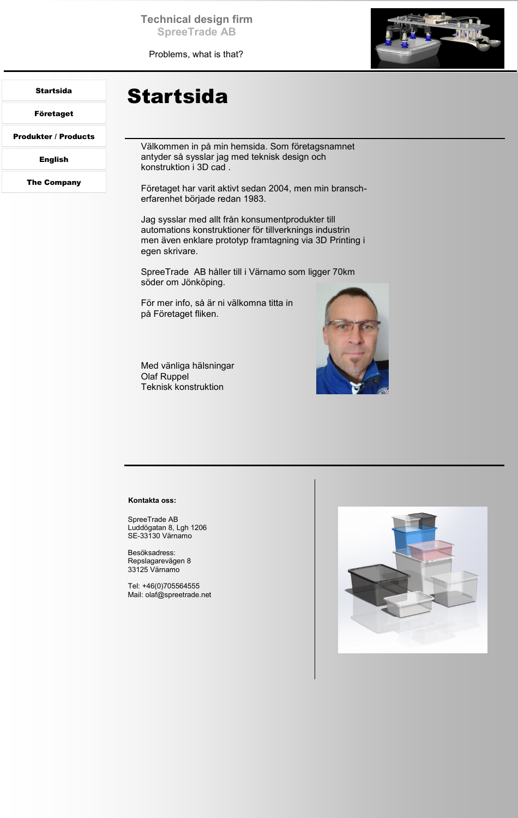**Technical design firm SpreeTrade AB**

Problems, what is that?



### <span id="page-0-0"></span>Startsida

[Företaget](#page-1-0)

[Produkter / Products](#page-2-0)

[English](#page-3-0)

[The Company](#page-4-0)

# Startsida

Välkommen in på min hemsida. Som företagsnamnet antyder så sysslar jag med teknisk design och konstruktion i 3D cad .

Företaget har varit aktivt sedan 2004, men min branscherfarenhet började redan 1983.

Jag sysslar med allt från konsumentprodukter till automations konstruktioner för tillverknings industrin men även enklare prototyp framtagning via 3D Printing i egen skrivare.

SpreeTrade AB håller till i Värnamo som ligger 70km söder om Jönköping.

För mer info, så är ni välkomna titta in på Företaget fliken.

Med vänliga hälsningar Olaf Ruppel Teknisk konstruktion



#### **Kontakta oss:**

SpreeTrade AB Luddögatan 8, Lgh 1206 SE-33130 Värnamo

Besöksadress: Repslagarevägen 8 33125 Värnamo

Tel: +46(0)705564555 Mail: olaf@spreetrade.net

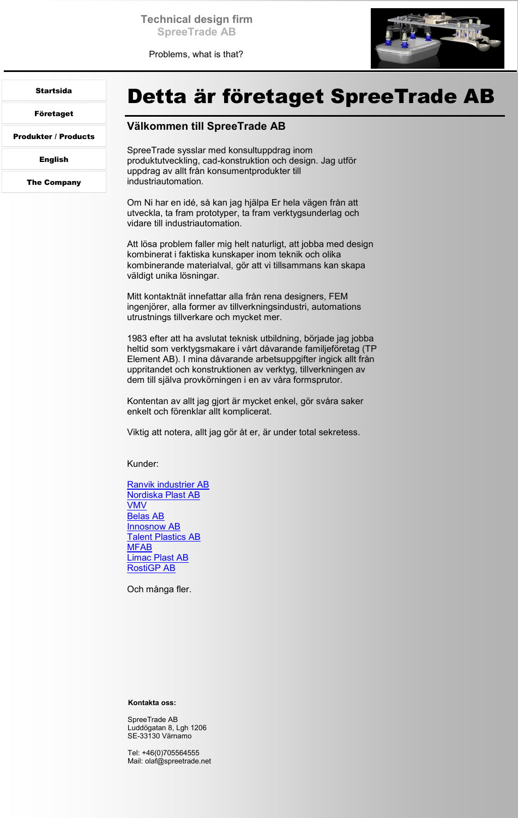Problems, what is that?



## <span id="page-1-0"></span>[Startsida](#page-0-0)

Företaget

[Produkter / Products](#page-2-0)

[English](#page-3-0)

[The Company](#page-4-0)

# Detta är företaget SpreeTrade AB

## **Välkommen till SpreeTrade AB**

SpreeTrade sysslar med konsultuppdrag inom produktutveckling, cad-konstruktion och design. Jag utför uppdrag av allt från konsumentprodukter till industriautomation.

Om Ni har en idé, så kan jag hjälpa Er hela vägen från att utveckla, ta fram prototyper, ta fram verktygsunderlag och vidare till industriautomation.

Att lösa problem faller mig helt naturligt, att jobba med design kombinerat i faktiska kunskaper inom teknik och olika kombinerande materialval, gör att vi tillsammans kan skapa väldigt unika lösningar.

Mitt kontaktnät innefattar alla från rena designers, FEM ingenjörer, alla former av tillverkningsindustri, automations utrustnings tillverkare och mycket mer.

1983 efter att ha avslutat teknisk utbildning, började jag jobba heltid som verktygsmakare i vårt dåvarande familjeföretag (TP Element AB). I mina dåvarande arbetsuppgifter ingick allt från uppritandet och konstruktionen av verktyg, tillverkningen av dem till själva provkörningen i en av våra formsprutor.

Kontentan av allt jag gjort är mycket enkel, gör svåra saker enkelt och förenklar allt komplicerat.

Viktig att notera, allt jag gör åt er, är under total sekretess.

Kunder:

[Ranvik industrier AB](http://ranvikindustrier.se/) [Nordiska Plast AB](http://www.nordiskaplast.se/sv/) [VMV](http://www.gnosjoandan.com/made/sv/foretag?c=246-V%C3%A4stenhaga+Maskin+%26+Verktyg) [Belas AB](http://belas.se/sv/) [Innosnow AB](https://innosnow.com/) **[Talent Plastics AB](http://www.talentplastics.se/sv/default)** [MFAB](http://www.mfab.se/sv/) [Limac Plast AB](http://www.limacab.se/) [RostiGP AB](https://www.rosti.com/about-rosti/global-presence/rosti-gp-sweden/)

Och många fler.

### **Kontakta oss:**

SpreeTrade AB Luddögatan 8, Lgh 1206 SE-33130 Värnamo

Tel: +46(0)705564555 Mail: olaf@spreetrade.net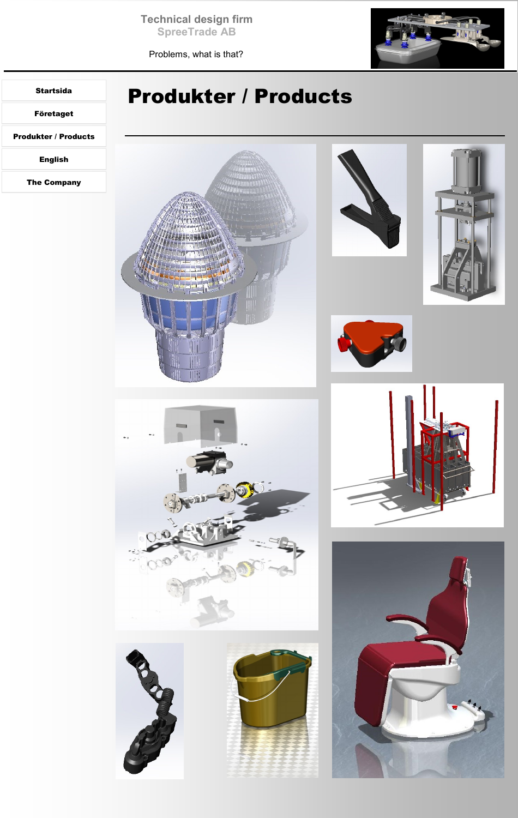**Technical design firm SpreeTrade AB**

Problems, what is that?



## <span id="page-2-0"></span>[Startsida](#page-0-0)

[Företaget](#page-1-0)

Produkter / Products

[English](#page-3-0)

[The Company](#page-4-0)

# Produkter / Products

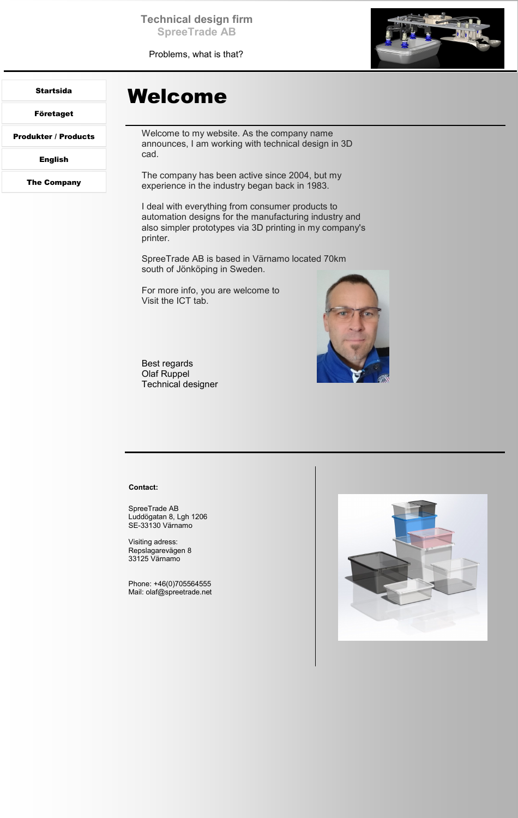**Technical design firm SpreeTrade AB**

Problems, what is that?



### <span id="page-3-0"></span>[Startsida](#page-0-0)

[Företaget](#page-1-0)

[Produkter / Products](#page-2-0)

English

[The Company](#page-4-0)

## Welcome

Welcome to my website. As the company name announces, I am working with technical design in 3D cad.

The company has been active since 2004, but my experience in the industry began back in 1983.

I deal with everything from consumer products to automation designs for the manufacturing industry and also simpler prototypes via 3D printing in my company's printer.

SpreeTrade AB is based in Värnamo located 70km south of Jönköping in Sweden.

For more info, you are welcome to Visit the ICT tab.

Best regards Olaf Ruppel Technical designer



#### **Contact:**

SpreeTrade AB Luddögatan 8, Lgh 1206 SE-33130 Värnamo

Visiting adress: Repslagarevägen 8 33125 Värnamo

Phone: +46(0)705564555 Mail: olaf@spreetrade.net